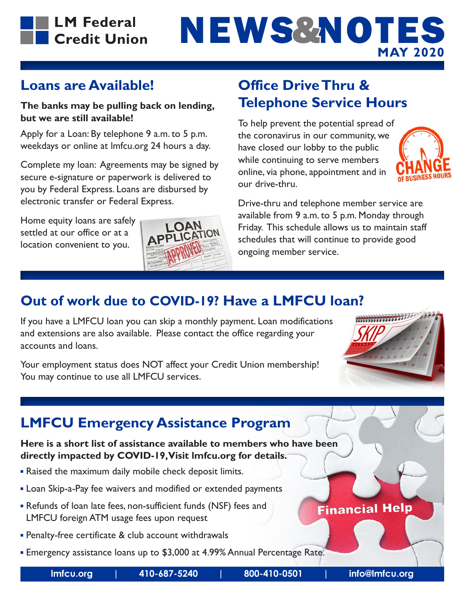

# NEWS&NOTES **MAY 2020**

### **Loans are Available!**

### **The banks may be pulling back on lending, but we are still available!**

Apply for a Loan: By telephone 9 a.m. to 5 p.m. weekdays or online at lmfcu.org 24 hours a day.

Complete my loan: Agreements may be signed by secure e-signature or paperwork is delivered to you by Federal Express. Loans are disbursed by electronic transfer or Federal Express.

Home equity loans are safely settled at our office or at a location convenient to you.



### **Office Drive Thru & Telephone Service Hours**

To help prevent the potential spread of the coronavirus in our community, we have closed our lobby to the public while continuing to serve members online, via phone, appointment and in our drive-thru.



Drive-thru and telephone member service are available from 9 a.m. to 5 p.m. Monday through Friday. This schedule allows us to maintain staff schedules that will continue to provide good ongoing member service.

### **Out of work due to COVID-19? Have a LMFCU loan?**

If you have a LMFCU loan you can skip a monthly payment. Loan modifications and extensions are also available. Please contact the office regarding your accounts and loans.

Your employment status does NOT affect your Credit Union membership! You may continue to use all LMFCU services.



### **LMFCU Emergency Assistance Program**

### **Here is a short list of assistance available to members who have been directly impacted by COVID-19, Visit lmfcu.org for details.**

- Raised the maximum daily mobile check deposit limits.
- **Loan Skip-a-Pay fee waivers and modified or extended payments**
- Refunds of loan late fees, non-sufficient funds (NSF) fees and LMFCU foreign ATM usage fees upon request
- Penalty-free certificate & club account withdrawals
- **Emergency assistance loans up to \$3,000 at 4.99% Annual Percentage Rate.**

### **Financial Help**

**lmfcu.org | 410-687-5240 | 800-410-0501 | info@lmfcu.org**